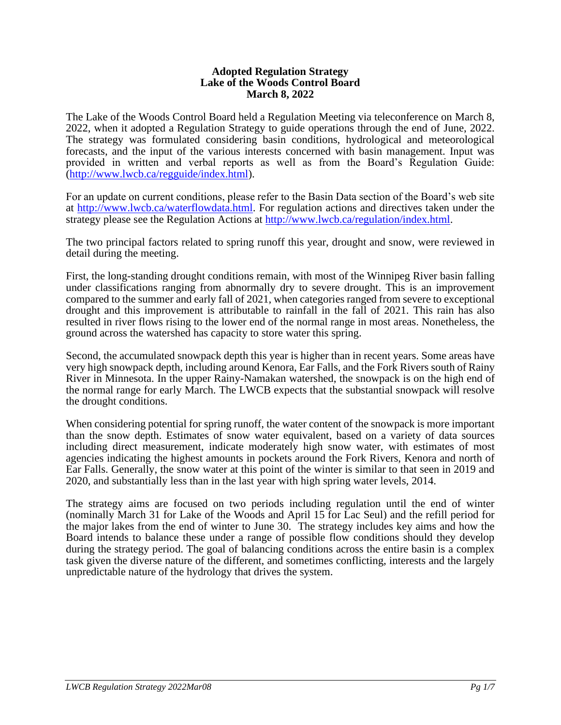#### **Adopted Regulation Strategy Lake of the Woods Control Board March 8, 2022**

The Lake of the Woods Control Board held a Regulation Meeting via teleconference on March 8, 2022, when it adopted a Regulation Strategy to guide operations through the end of June, 2022. The strategy was formulated considering basin conditions, hydrological and meteorological forecasts, and the input of the various interests concerned with basin management. Input was provided in written and verbal reports as well as from the Board's Regulation Guide: [\(http://www.lwcb.ca/regguide/index.html\)](http://www.lwcb.ca/regguide/index.html).

For an update on current conditions, please refer to the Basin Data section of the Board's web site at [http://www.lwcb.ca/waterflowdata.html.](http://www.lwcb.ca/waterflowdata.html) For regulation actions and directives taken under the strategy please see the Regulation Actions at [http://www.lwcb.ca/regulation/index.html.](http://www.lwcb.ca/regulation/index.html)

The two principal factors related to spring runoff this year, drought and snow, were reviewed in detail during the meeting.

First, the long-standing drought conditions remain, with most of the Winnipeg River basin falling under classifications ranging from abnormally dry to severe drought. This is an improvement compared to the summer and early fall of 2021, when categories ranged from severe to exceptional drought and this improvement is attributable to rainfall in the fall of 2021. This rain has also resulted in river flows rising to the lower end of the normal range in most areas. Nonetheless, the ground across the watershed has capacity to store water this spring.

Second, the accumulated snowpack depth this year is higher than in recent years. Some areas have very high snowpack depth, including around Kenora, Ear Falls, and the Fork Rivers south of Rainy River in Minnesota. In the upper Rainy-Namakan watershed, the snowpack is on the high end of the normal range for early March. The LWCB expects that the substantial snowpack will resolve the drought conditions.

When considering potential for spring runoff, the water content of the snowpack is more important than the snow depth. Estimates of snow water equivalent, based on a variety of data sources including direct measurement, indicate moderately high snow water, with estimates of most agencies indicating the highest amounts in pockets around the Fork Rivers, Kenora and north of Ear Falls. Generally, the snow water at this point of the winter is similar to that seen in 2019 and 2020, and substantially less than in the last year with high spring water levels, 2014.

The strategy aims are focused on two periods including regulation until the end of winter (nominally March 31 for Lake of the Woods and April 15 for Lac Seul) and the refill period for the major lakes from the end of winter to June 30. The strategy includes key aims and how the Board intends to balance these under a range of possible flow conditions should they develop during the strategy period. The goal of balancing conditions across the entire basin is a complex task given the diverse nature of the different, and sometimes conflicting, interests and the largely unpredictable nature of the hydrology that drives the system.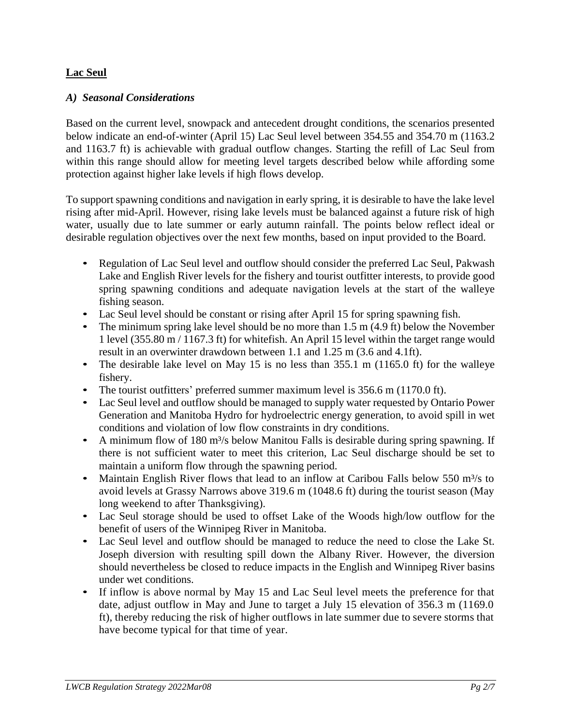### **Lac Seul**

#### *A) Seasonal Considerations*

Based on the current level, snowpack and antecedent drought conditions, the scenarios presented below indicate an end-of-winter (April 15) Lac Seul level between 354.55 and 354.70 m (1163.2 and 1163.7 ft) is achievable with gradual outflow changes. Starting the refill of Lac Seul from within this range should allow for meeting level targets described below while affording some protection against higher lake levels if high flows develop.

To support spawning conditions and navigation in early spring, it is desirable to have the lake level rising after mid-April. However, rising lake levels must be balanced against a future risk of high water, usually due to late summer or early autumn rainfall. The points below reflect ideal or desirable regulation objectives over the next few months, based on input provided to the Board.

- Regulation of Lac Seul level and outflow should consider the preferred Lac Seul, Pakwash Lake and English River levels for the fishery and tourist outfitter interests, to provide good spring spawning conditions and adequate navigation levels at the start of the walleye fishing season.
- Lac Seul level should be constant or rising after April 15 for spring spawning fish.
- The minimum spring lake level should be no more than 1.5 m (4.9 ft) below the November 1 level (355.80 m / 1167.3 ft) for whitefish. An April 15 level within the target range would result in an overwinter drawdown between 1.1 and 1.25 m (3.6 and 4.1ft).
- The desirable lake level on May 15 is no less than 355.1 m (1165.0 ft) for the walleye fishery.
- The tourist outfitters' preferred summer maximum level is 356.6 m (1170.0 ft).
- Lac Seul level and outflow should be managed to supply water requested by Ontario Power Generation and Manitoba Hydro for hydroelectric energy generation, to avoid spill in wet conditions and violation of low flow constraints in dry conditions.
- A minimum flow of 180 m<sup>3</sup>/s below Manitou Falls is desirable during spring spawning. If there is not sufficient water to meet this criterion, Lac Seul discharge should be set to maintain a uniform flow through the spawning period.
- Maintain English River flows that lead to an inflow at Caribou Falls below 550 m<sup>3</sup>/s to avoid levels at Grassy Narrows above 319.6 m (1048.6 ft) during the tourist season (May long weekend to after Thanksgiving).
- Lac Seul storage should be used to offset Lake of the Woods high/low outflow for the benefit of users of the Winnipeg River in Manitoba.
- Lac Seul level and outflow should be managed to reduce the need to close the Lake St. Joseph diversion with resulting spill down the Albany River. However, the diversion should nevertheless be closed to reduce impacts in the English and Winnipeg River basins under wet conditions.
- If inflow is above normal by May 15 and Lac Seul level meets the preference for that date, adjust outflow in May and June to target a July 15 elevation of 356.3 m (1169.0 ft), thereby reducing the risk of higher outflows in late summer due to severe storms that have become typical for that time of year.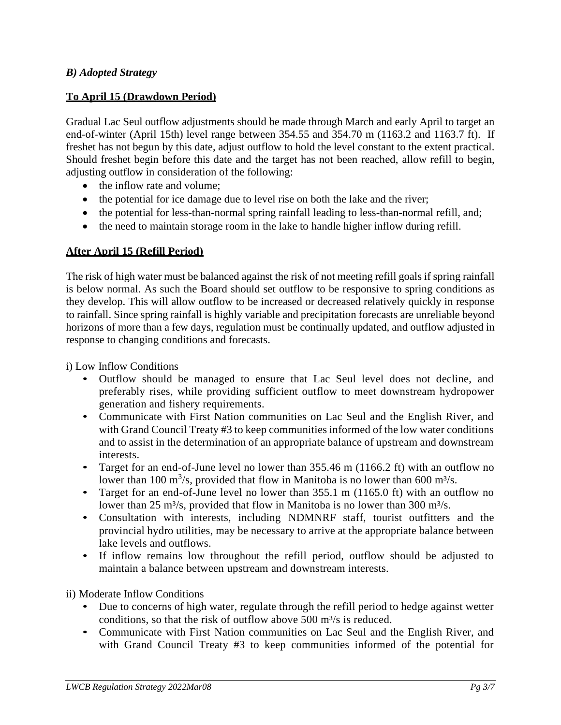### *B) Adopted Strategy*

#### **To April 15 (Drawdown Period)**

Gradual Lac Seul outflow adjustments should be made through March and early April to target an end-of-winter (April 15th) level range between 354.55 and 354.70 m (1163.2 and 1163.7 ft). If freshet has not begun by this date, adjust outflow to hold the level constant to the extent practical. Should freshet begin before this date and the target has not been reached, allow refill to begin, adjusting outflow in consideration of the following:

- the inflow rate and volume;
- the potential for ice damage due to level rise on both the lake and the river;
- the potential for less-than-normal spring rainfall leading to less-than-normal refill, and;
- the need to maintain storage room in the lake to handle higher inflow during refill.

### **After April 15 (Refill Period)**

The risk of high water must be balanced against the risk of not meeting refill goals if spring rainfall is below normal. As such the Board should set outflow to be responsive to spring conditions as they develop. This will allow outflow to be increased or decreased relatively quickly in response to rainfall. Since spring rainfall is highly variable and precipitation forecasts are unreliable beyond horizons of more than a few days, regulation must be continually updated, and outflow adjusted in response to changing conditions and forecasts.

i) Low Inflow Conditions

- Outflow should be managed to ensure that Lac Seul level does not decline, and preferably rises, while providing sufficient outflow to meet downstream hydropower generation and fishery requirements.
- Communicate with First Nation communities on Lac Seul and the English River, and with Grand Council Treaty #3 to keep communities informed of the low water conditions and to assist in the determination of an appropriate balance of upstream and downstream interests.
- Target for an end-of-June level no lower than 355.46 m (1166.2 ft) with an outflow no lower than 100 m<sup>3</sup>/s, provided that flow in Manitoba is no lower than 600 m<sup>3</sup>/s.
- Target for an end-of-June level no lower than 355.1 m (1165.0 ft) with an outflow no lower than 25 m<sup>3</sup>/s, provided that flow in Manitoba is no lower than 300 m<sup>3</sup>/s.
- Consultation with interests, including NDMNRF staff, tourist outfitters and the provincial hydro utilities, may be necessary to arrive at the appropriate balance between lake levels and outflows.
- If inflow remains low throughout the refill period, outflow should be adjusted to maintain a balance between upstream and downstream interests.

ii) Moderate Inflow Conditions

- Due to concerns of high water, regulate through the refill period to hedge against wetter conditions, so that the risk of outflow above  $500 \text{ m}^3/\text{s}$  is reduced.
- Communicate with First Nation communities on Lac Seul and the English River, and with Grand Council Treaty #3 to keep communities informed of the potential for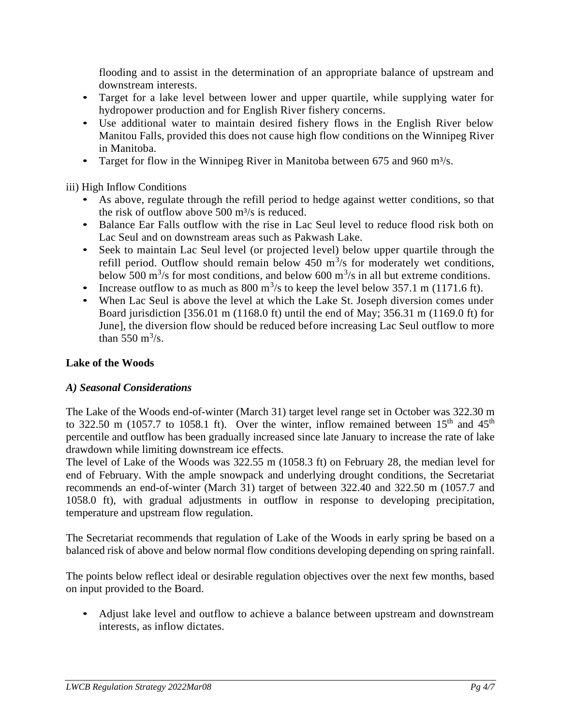flooding and to assist in the determination of an appropriate balance of upstream and downstream interests.

- Target for a lake level between lower and upper quartile, while supplying water for hydropower production and for English River fishery concerns.
- Use additional water to maintain desired fishery flows in the English River below Manitou Falls, provided this does not cause high flow conditions on the Winnipeg River in Manitoba.
- Target for flow in the Winnipeg River in Manitoba between  $675$  and  $960$  m<sup>3</sup>/s.

iii) High Inflow Conditions

- As above, regulate through the refill period to hedge against wetter conditions, so that the risk of outflow above  $500 \text{ m}^3\text{/s}$  is reduced.
- Balance Ear Falls outflow with the rise in Lac Seul level to reduce flood risk both on Lac Seul and on downstream areas such as Pakwash Lake.
- Seek to maintain Lac Seul level (or projected level) below upper quartile through the refill period. Outflow should remain below  $450 \text{ m}^3/\text{s}$  for moderately wet conditions, below 500 m<sup>3</sup>/s for most conditions, and below 600 m<sup>3</sup>/s in all but extreme conditions.
- Increase outflow to as much as  $800 \text{ m}^3/\text{s}$  to keep the level below 357.1 m (1171.6 ft).
- When Lac Seul is above the level at which the Lake St. Joseph diversion comes under Board jurisdiction [356.01 m (1168.0 ft) until the end of May; 356.31 m (1169.0 ft) for June], the diversion flow should be reduced before increasing Lac Seul outflow to more than 550  $\text{m}^3\text{/s}$ .

# **Lake of the Woods**

## *A) Seasonal Considerations*

The Lake of the Woods end-of-winter (March 31) target level range set in October was 322.30 m to 322.50 m (1057.7 to 1058.1 ft). Over the winter, inflow remained between  $15<sup>th</sup>$  and  $45<sup>th</sup>$ percentile and outflow has been gradually increased since late January to increase the rate of lake drawdown while limiting downstream ice effects.

The level of Lake of the Woods was 322.55 m (1058.3 ft) on February 28, the median level for end of February. With the ample snowpack and underlying drought conditions, the Secretariat recommends an end-of-winter (March 31) target of between 322.40 and 322.50 m (1057.7 and 1058.0 ft), with gradual adjustments in outflow in response to developing precipitation, temperature and upstream flow regulation.

The Secretariat recommends that regulation of Lake of the Woods in early spring be based on a balanced risk of above and below normal flow conditions developing depending on spring rainfall.

The points below reflect ideal or desirable regulation objectives over the next few months, based on input provided to the Board.

• Adjust lake level and outflow to achieve a balance between upstream and downstream interests, as inflow dictates.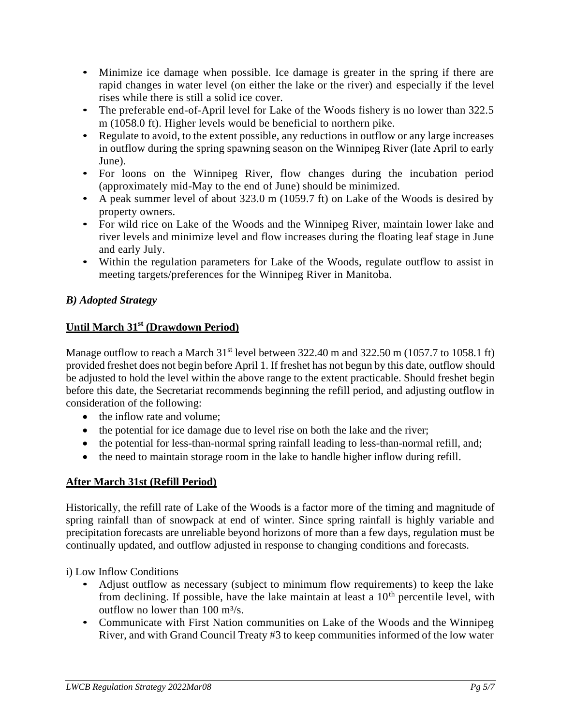- Minimize ice damage when possible. Ice damage is greater in the spring if there are rapid changes in water level (on either the lake or the river) and especially if the level rises while there is still a solid ice cover.
- The preferable end-of-April level for Lake of the Woods fishery is no lower than 322.5 m (1058.0 ft). Higher levels would be beneficial to northern pike.
- Regulate to avoid, to the extent possible, any reductions in outflow or any large increases in outflow during the spring spawning season on the Winnipeg River (late April to early June).
- For loons on the Winnipeg River, flow changes during the incubation period (approximately mid-May to the end of June) should be minimized.
- A peak summer level of about 323.0 m (1059.7 ft) on Lake of the Woods is desired by property owners.
- For wild rice on Lake of the Woods and the Winnipeg River, maintain lower lake and river levels and minimize level and flow increases during the floating leaf stage in June and early July.
- Within the regulation parameters for Lake of the Woods, regulate outflow to assist in meeting targets/preferences for the Winnipeg River in Manitoba.

# *B) Adopted Strategy*

# **Until March 31st (Drawdown Period)**

Manage outflow to reach a March  $31<sup>st</sup>$  level between 322.40 m and 322.50 m (1057.7 to 1058.1 ft) provided freshet does not begin before April 1. If freshet has not begun by this date, outflow should be adjusted to hold the level within the above range to the extent practicable. Should freshet begin before this date, the Secretariat recommends beginning the refill period, and adjusting outflow in consideration of the following:

- the inflow rate and volume;
- the potential for ice damage due to level rise on both the lake and the river;
- the potential for less-than-normal spring rainfall leading to less-than-normal refill, and;
- the need to maintain storage room in the lake to handle higher inflow during refill.

# **After March 31st (Refill Period)**

Historically, the refill rate of Lake of the Woods is a factor more of the timing and magnitude of spring rainfall than of snowpack at end of winter. Since spring rainfall is highly variable and precipitation forecasts are unreliable beyond horizons of more than a few days, regulation must be continually updated, and outflow adjusted in response to changing conditions and forecasts.

i) Low Inflow Conditions

- Adjust outflow as necessary (subject to minimum flow requirements) to keep the lake from declining. If possible, have the lake maintain at least a  $10<sup>th</sup>$  percentile level, with outflow no lower than  $100 \text{ m}^3\text{/s.}$
- Communicate with First Nation communities on Lake of the Woods and the Winnipeg River, and with Grand Council Treaty #3 to keep communities informed of the low water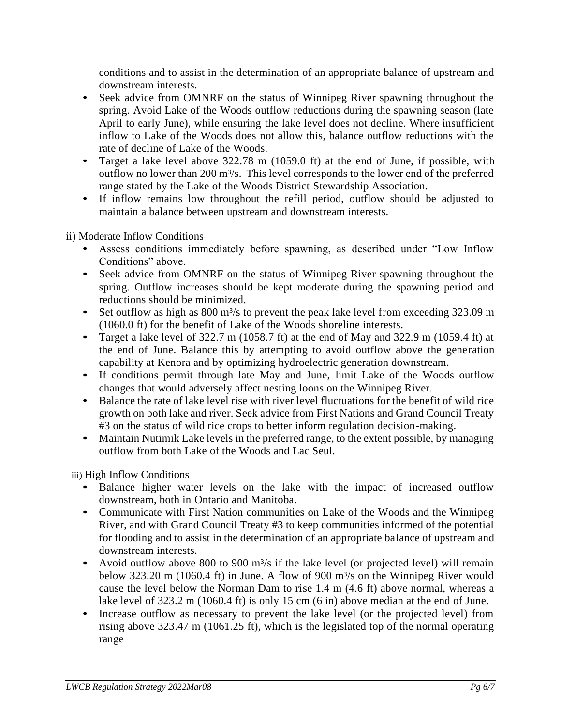conditions and to assist in the determination of an appropriate balance of upstream and downstream interests.

- Seek advice from OMNRF on the status of Winnipeg River spawning throughout the spring. Avoid Lake of the Woods outflow reductions during the spawning season (late April to early June), while ensuring the lake level does not decline. Where insufficient inflow to Lake of the Woods does not allow this, balance outflow reductions with the rate of decline of Lake of the Woods.
- Target a lake level above 322.78 m (1059.0 ft) at the end of June, if possible, with outflow no lower than 200 m<sup>3</sup>/s. This level corresponds to the lower end of the preferred range stated by the Lake of the Woods District Stewardship Association.
- If inflow remains low throughout the refill period, outflow should be adjusted to maintain a balance between upstream and downstream interests.

ii) Moderate Inflow Conditions

- Assess conditions immediately before spawning, as described under "Low Inflow Conditions" above.
- Seek advice from OMNRF on the status of Winnipeg River spawning throughout the spring. Outflow increases should be kept moderate during the spawning period and reductions should be minimized.
- Set outflow as high as 800 m<sup>3</sup>/s to prevent the peak lake level from exceeding 323.09 m (1060.0 ft) for the benefit of Lake of the Woods shoreline interests.
- Target a lake level of 322.7 m (1058.7 ft) at the end of May and 322.9 m (1059.4 ft) at the end of June. Balance this by attempting to avoid outflow above the generation capability at Kenora and by optimizing hydroelectric generation downstream.
- If conditions permit through late May and June, limit Lake of the Woods outflow changes that would adversely affect nesting loons on the Winnipeg River.
- Balance the rate of lake level rise with river level fluctuations for the benefit of wild rice growth on both lake and river. Seek advice from First Nations and Grand Council Treaty #3 on the status of wild rice crops to better inform regulation decision-making.
- Maintain Nutimik Lake levels in the preferred range, to the extent possible, by managing outflow from both Lake of the Woods and Lac Seul.

iii) High Inflow Conditions

- Balance higher water levels on the lake with the impact of increased outflow downstream, both in Ontario and Manitoba.
- Communicate with First Nation communities on Lake of the Woods and the Winnipeg River, and with Grand Council Treaty #3 to keep communities informed of the potential for flooding and to assist in the determination of an appropriate balance of upstream and downstream interests.
- Avoid outflow above 800 to 900  $\text{m}^3$ /s if the lake level (or projected level) will remain below 323.20 m (1060.4 ft) in June. A flow of 900 m<sup>3</sup>/s on the Winnipeg River would cause the level below the Norman Dam to rise 1.4 m (4.6 ft) above normal, whereas a lake level of 323.2 m (1060.4 ft) is only 15 cm (6 in) above median at the end of June.
- Increase outflow as necessary to prevent the lake level (or the projected level) from rising above 323.47 m (1061.25 ft), which is the legislated top of the normal operating range